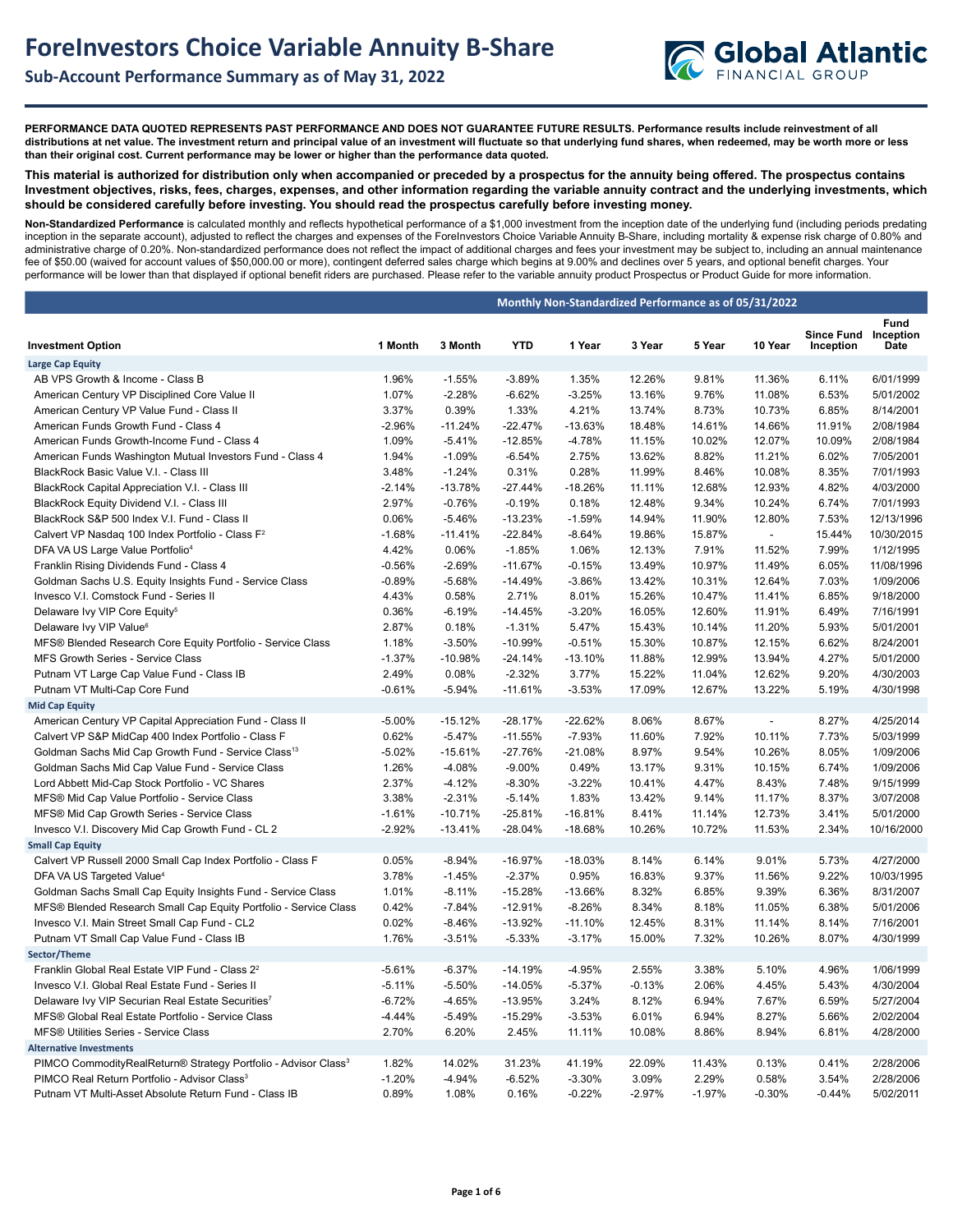

**PERFORMANCE DATA QUOTED REPRESENTS PAST PERFORMANCE AND DOES NOT GUARANTEE FUTURE RESULTS. Performance results include reinvestment of all distributions at net value. The investment return and principal value of an investment will fluctuate so that underlying fund shares, when redeemed, may be worth more or less than their original cost. Current performance may be lower or higher than the performance data quoted.**

**This material is authorized for distribution only when accompanied or preceded by a prospectus for the annuity being offered. The prospectus contains Investment objectives, risks, fees, charges, expenses, and other information regarding the variable annuity contract and the underlying investments, which should be considered carefully before investing. You should read the prospectus carefully before investing money.** 

**Non-Standardized Performance** is calculated monthly and reflects hypothetical performance of a \$1,000 investment from the inception date of the underlying fund (including periods predating inception in the separate account), adjusted to reflect the charges and expenses of the ForeInvestors Choice Variable Annuity B-Share, including mortality & expense risk charge of 0.80% and administrative charge of 0.20%. Non-standardized performance does not reflect the impact of additional charges and fees your investment may be subject to, including an annual maintenance fee of \$50.00 (waived for account values of \$50,000.00 or more), contingent deferred sales charge which begins at 9.00% and declines over 5 years, and optional benefit charges. Your performance will be lower than that displayed if optional benefit riders are purchased. Please refer to the variable annuity product Prospectus or Product Guide for more information.

|                                                                                            | Monthly Non-Standardized Performance as of 05/31/2022 |                      |                       |                       |                  |                |                  |                                |                           |  |  |  |
|--------------------------------------------------------------------------------------------|-------------------------------------------------------|----------------------|-----------------------|-----------------------|------------------|----------------|------------------|--------------------------------|---------------------------|--|--|--|
| <b>Investment Option</b>                                                                   | 1 Month                                               | 3 Month              | <b>YTD</b>            | 1 Year                | 3 Year           | 5 Year         | 10 Year          | <b>Since Fund</b><br>Inception | Fund<br>Inception<br>Date |  |  |  |
| <b>Large Cap Equity</b>                                                                    |                                                       |                      |                       |                       |                  |                |                  |                                |                           |  |  |  |
| AB VPS Growth & Income - Class B                                                           | 1.96%                                                 | $-1.55%$             | $-3.89%$              | 1.35%                 | 12.26%           | 9.81%          | 11.36%           | 6.11%                          | 6/01/1999                 |  |  |  |
| American Century VP Disciplined Core Value II                                              | 1.07%                                                 | $-2.28%$             | $-6.62%$              | $-3.25%$              | 13.16%           | 9.76%          | 11.08%           | 6.53%                          | 5/01/2002                 |  |  |  |
| American Century VP Value Fund - Class II                                                  | 3.37%                                                 | 0.39%                | 1.33%                 | 4.21%                 | 13.74%           | 8.73%          | 10.73%           | 6.85%                          | 8/14/2001                 |  |  |  |
| American Funds Growth Fund - Class 4                                                       | $-2.96%$                                              | $-11.24%$            | $-22.47%$             | $-13.63%$             | 18.48%           | 14.61%         | 14.66%           | 11.91%                         | 2/08/1984                 |  |  |  |
| American Funds Growth-Income Fund - Class 4                                                | 1.09%                                                 | $-5.41%$             | $-12.85%$             | $-4.78%$              | 11.15%           | 10.02%         | 12.07%           | 10.09%                         | 2/08/1984                 |  |  |  |
| American Funds Washington Mutual Investors Fund - Class 4                                  | 1.94%                                                 | $-1.09%$             | $-6.54%$              | 2.75%                 | 13.62%           | 8.82%          | 11.21%           | 6.02%                          | 7/05/2001                 |  |  |  |
| BlackRock Basic Value V.I. - Class III                                                     | 3.48%                                                 | $-1.24%$             | 0.31%                 | 0.28%                 | 11.99%           | 8.46%          | 10.08%           | 8.35%                          | 7/01/1993                 |  |  |  |
| BlackRock Capital Appreciation V.I. - Class III                                            | $-2.14%$                                              | $-13.78%$            | $-27.44%$             | $-18.26%$             | 11.11%           | 12.68%         | 12.93%           | 4.82%                          | 4/03/2000                 |  |  |  |
| BlackRock Equity Dividend V.I. - Class III                                                 | 2.97%                                                 | $-0.76%$             | $-0.19%$              | 0.18%                 | 12.48%           | 9.34%          | 10.24%           | 6.74%                          | 7/01/1993                 |  |  |  |
| BlackRock S&P 500 Index V.I. Fund - Class II                                               | 0.06%                                                 | $-5.46%$             | $-13.23%$             | $-1.59%$              | 14.94%           | 11.90%         | 12.80%           | 7.53%                          | 12/13/1996                |  |  |  |
| Calvert VP Nasdag 100 Index Portfolio - Class F <sup>2</sup>                               | $-1.68%$                                              | $-11.41%$            | $-22.84%$             | $-8.64%$              | 19.86%           | 15.87%         | $\overline{a}$   | 15.44%                         | 10/30/2015                |  |  |  |
| DFA VA US Large Value Portfolio <sup>4</sup>                                               | 4.42%                                                 | 0.06%                | $-1.85%$              | 1.06%                 | 12.13%           | 7.91%          | 11.52%           | 7.99%                          | 1/12/1995                 |  |  |  |
| Franklin Rising Dividends Fund - Class 4                                                   | $-0.56%$                                              | $-2.69%$             | $-11.67%$             | $-0.15%$              | 13.49%           | 10.97%         | 11.49%           | 6.05%                          | 11/08/1996                |  |  |  |
| Goldman Sachs U.S. Equity Insights Fund - Service Class                                    | $-0.89%$                                              | $-5.68%$             | $-14.49%$             | $-3.86%$              | 13.42%           | 10.31%         | 12.64%           | 7.03%                          | 1/09/2006                 |  |  |  |
| Invesco V.I. Comstock Fund - Series II                                                     | 4.43%                                                 | 0.58%                | 2.71%                 | 8.01%                 | 15.26%           | 10.47%         | 11.41%           | 6.85%                          | 9/18/2000                 |  |  |  |
| Delaware Ivy VIP Core Equity <sup>5</sup>                                                  | 0.36%                                                 | $-6.19%$             | $-14.45%$             | $-3.20%$              | 16.05%           | 12.60%         | 11.91%           | 6.49%                          | 7/16/1991                 |  |  |  |
| Delaware Ivy VIP Value <sup>6</sup>                                                        | 2.87%                                                 | 0.18%                | $-1.31%$              | 5.47%                 | 15.43%           | 10.14%         | 11.20%           | 5.93%                          | 5/01/2001                 |  |  |  |
| MFS® Blended Research Core Equity Portfolio - Service Class                                | 1.18%                                                 | $-3.50%$             | $-10.99%$             | $-0.51%$              | 15.30%           | 10.87%         | 12.15%           | 6.62%                          | 8/24/2001                 |  |  |  |
| MFS Growth Series - Service Class                                                          | $-1.37%$                                              | $-10.98%$            | $-24.14%$             | $-13.10%$             | 11.88%           | 12.99%         | 13.94%           | 4.27%                          | 5/01/2000                 |  |  |  |
| Putnam VT Large Cap Value Fund - Class IB                                                  | 2.49%                                                 | 0.08%                | $-2.32%$              | 3.77%                 | 15.22%           | 11.04%         | 12.62%           | 9.20%                          | 4/30/2003                 |  |  |  |
| Putnam VT Multi-Cap Core Fund                                                              | $-0.61%$                                              | $-5.94%$             | $-11.61%$             | $-3.53%$              | 17.09%           | 12.67%         | 13.22%           | 5.19%                          | 4/30/1998                 |  |  |  |
| <b>Mid Cap Equity</b>                                                                      |                                                       |                      |                       |                       |                  |                |                  |                                |                           |  |  |  |
| American Century VP Capital Appreciation Fund - Class II                                   | $-5.00%$                                              | $-15.12%$            | $-28.17%$             | $-22.62%$             | 8.06%            | 8.67%          | $\sim$           | 8.27%                          | 4/25/2014                 |  |  |  |
| Calvert VP S&P MidCap 400 Index Portfolio - Class F                                        | 0.62%                                                 | $-5.47%$             | $-11.55%$             | $-7.93%$              | 11.60%           | 7.92%          | 10.11%           | 7.73%                          | 5/03/1999                 |  |  |  |
| Goldman Sachs Mid Cap Growth Fund - Service Class <sup>13</sup>                            | $-5.02%$                                              | $-15.61%$            | $-27.76%$             | $-21.08%$             | 8.97%            | 9.54%          | 10.26%           | 8.05%                          | 1/09/2006                 |  |  |  |
| Goldman Sachs Mid Cap Value Fund - Service Class                                           | 1.26%                                                 | $-4.08%$             | $-9.00%$              | 0.49%                 | 13.17%           | 9.31%          | 10.15%           | 6.74%                          | 1/09/2006                 |  |  |  |
| Lord Abbett Mid-Cap Stock Portfolio - VC Shares                                            | 2.37%                                                 | $-4.12%$             | $-8.30%$              | $-3.22%$              | 10.41%           | 4.47%          | 8.43%            | 7.48%                          | 9/15/1999                 |  |  |  |
| MFS® Mid Cap Value Portfolio - Service Class                                               | 3.38%                                                 | $-2.31%$             | $-5.14%$              | 1.83%                 | 13.42%           | 9.14%          | 11.17%           | 8.37%                          | 3/07/2008                 |  |  |  |
| MFS® Mid Cap Growth Series - Service Class                                                 | $-1.61%$                                              | $-10.71%$            | $-25.81%$             | $-16.81%$             | 8.41%            | 11.14%         | 12.73%           | 3.41%                          | 5/01/2000                 |  |  |  |
| Invesco V.I. Discovery Mid Cap Growth Fund - CL 2                                          | $-2.92%$                                              | $-13.41%$            | $-28.04%$             | $-18.68%$             | 10.26%           | 10.72%         | 11.53%           | 2.34%                          | 10/16/2000                |  |  |  |
| <b>Small Cap Equity</b>                                                                    |                                                       |                      |                       |                       |                  |                |                  |                                |                           |  |  |  |
| Calvert VP Russell 2000 Small Cap Index Portfolio - Class F                                | 0.05%                                                 | $-8.94%$             | $-16.97%$             | $-18.03%$             | 8.14%            | 6.14%          | 9.01%            | 5.73%                          | 4/27/2000                 |  |  |  |
| DFA VA US Targeted Value <sup>4</sup>                                                      | 3.78%                                                 | $-1.45%$             | $-2.37%$              | 0.95%                 | 16.83%           | 9.37%          | 11.56%           | 9.22%                          | 10/03/1995                |  |  |  |
| Goldman Sachs Small Cap Equity Insights Fund - Service Class                               | 1.01%                                                 | $-8.11%$             | $-15.28%$             | $-13.66%$             | 8.32%            | 6.85%          | 9.39%            | 6.36%                          | 8/31/2007                 |  |  |  |
| MFS® Blended Research Small Cap Equity Portfolio - Service Class                           | 0.42%                                                 | $-7.84%$             | $-12.91%$             | $-8.26%$              | 8.34%            | 8.18%          | 11.05%           | 6.38%                          | 5/01/2006                 |  |  |  |
| Invesco V.I. Main Street Small Cap Fund - CL2<br>Putnam VT Small Cap Value Fund - Class IB | 0.02%<br>1.76%                                        | $-8.46%$<br>$-3.51%$ | $-13.92%$<br>$-5.33%$ | $-11.10%$<br>$-3.17%$ | 12.45%<br>15.00% | 8.31%<br>7.32% | 11.14%<br>10.26% | 8.14%<br>8.07%                 | 7/16/2001<br>4/30/1999    |  |  |  |
| Sector/Theme                                                                               |                                                       |                      |                       |                       |                  |                |                  |                                |                           |  |  |  |
| Franklin Global Real Estate VIP Fund - Class 2 <sup>2</sup>                                | $-5.61%$                                              | $-6.37%$             | $-14.19%$             | $-4.95%$              | 2.55%            | 3.38%          | 5.10%            | 4.96%                          | 1/06/1999                 |  |  |  |
| Invesco V.I. Global Real Estate Fund - Series II                                           | $-5.11%$                                              | $-5.50%$             | $-14.05%$             | $-5.37%$              | $-0.13%$         | 2.06%          | 4.45%            | 5.43%                          | 4/30/2004                 |  |  |  |
| Delaware Ivy VIP Securian Real Estate Securities <sup>7</sup>                              | $-6.72%$                                              | $-4.65%$             | $-13.95%$             | 3.24%                 | 8.12%            | 6.94%          | 7.67%            | 6.59%                          | 5/27/2004                 |  |  |  |
| MFS® Global Real Estate Portfolio - Service Class                                          | $-4.44%$                                              | $-5.49%$             | $-15.29%$             | $-3.53%$              | 6.01%            | 6.94%          | 8.27%            | 5.66%                          | 2/02/2004                 |  |  |  |
| MFS® Utilities Series - Service Class                                                      | 2.70%                                                 | 6.20%                | 2.45%                 | 11.11%                | 10.08%           | 8.86%          | 8.94%            | 6.81%                          | 4/28/2000                 |  |  |  |
| <b>Alternative Investments</b>                                                             |                                                       |                      |                       |                       |                  |                |                  |                                |                           |  |  |  |
| PIMCO CommodityRealReturn® Strategy Portfolio - Advisor Class <sup>3</sup>                 | 1.82%                                                 | 14.02%               | 31.23%                | 41.19%                | 22.09%           | 11.43%         | 0.13%            | 0.41%                          | 2/28/2006                 |  |  |  |
| PIMCO Real Return Portfolio - Advisor Class <sup>3</sup>                                   | $-1.20%$                                              | $-4.94%$             | $-6.52%$              | $-3.30%$              | 3.09%            | 2.29%          | 0.58%            | 3.54%                          | 2/28/2006                 |  |  |  |
| Putnam VT Multi-Asset Absolute Return Fund - Class IB                                      | 0.89%                                                 | 1.08%                | 0.16%                 | $-0.22%$              | $-2.97%$         | $-1.97%$       | $-0.30%$         | $-0.44%$                       | 5/02/2011                 |  |  |  |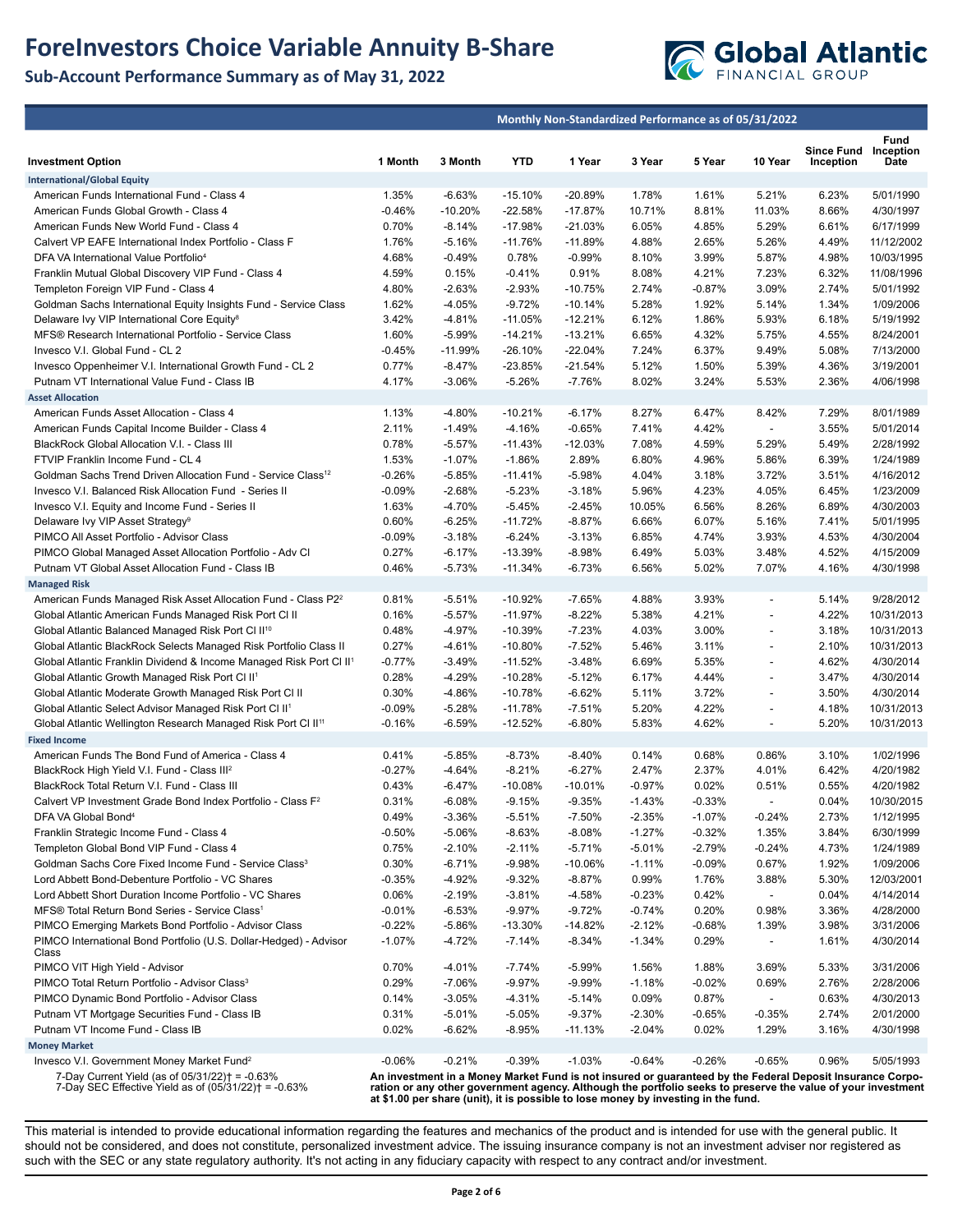## **ForeInvestors Choice Variable Annuity B-Share**

## **Sub-Account Performance Summary as of May 31, 2022**



|                                                                                                                                     |                      |                      |                         | Monthly Non-Standardized Performance as of 05/31/2022                              |                      |                   |                                            |                                                                                                                                                                                                                           |                          |
|-------------------------------------------------------------------------------------------------------------------------------------|----------------------|----------------------|-------------------------|------------------------------------------------------------------------------------|----------------------|-------------------|--------------------------------------------|---------------------------------------------------------------------------------------------------------------------------------------------------------------------------------------------------------------------------|--------------------------|
|                                                                                                                                     |                      |                      |                         |                                                                                    |                      |                   |                                            | <b>Since Fund</b>                                                                                                                                                                                                         | Fund<br>Inception        |
| <b>Investment Option</b>                                                                                                            | 1 Month              | 3 Month              | <b>YTD</b>              | 1 Year                                                                             | 3 Year               | 5 Year            | 10 Year                                    | Inception                                                                                                                                                                                                                 | Date                     |
| <b>International/Global Equity</b>                                                                                                  |                      |                      |                         |                                                                                    |                      |                   |                                            |                                                                                                                                                                                                                           |                          |
| American Funds International Fund - Class 4                                                                                         | 1.35%                | $-6.63%$             | $-15.10%$               | -20.89%                                                                            | 1.78%                | 1.61%             | 5.21%                                      | 6.23%                                                                                                                                                                                                                     | 5/01/1990                |
| American Funds Global Growth - Class 4                                                                                              | $-0.46%$             | $-10.20%$            | $-22.58%$               | $-17.87%$                                                                          | 10.71%               | 8.81%             | 11.03%                                     | 8.66%                                                                                                                                                                                                                     | 4/30/1997                |
| American Funds New World Fund - Class 4                                                                                             | 0.70%                | -8.14%               | -17.98%                 | $-21.03%$                                                                          | 6.05%                | 4.85%             | 5.29%                                      | 6.61%                                                                                                                                                                                                                     | 6/17/1999                |
| Calvert VP EAFE International Index Portfolio - Class F                                                                             | 1.76%                | $-5.16%$             | $-11.76%$               | $-11.89%$                                                                          | 4.88%                | 2.65%             | 5.26%                                      | 4.49%                                                                                                                                                                                                                     | 11/12/2002               |
| DFA VA International Value Portfolio <sup>4</sup>                                                                                   | 4.68%                | $-0.49%$             | 0.78%                   | $-0.99%$                                                                           | 8.10%                | 3.99%             | 5.87%                                      | 4.98%                                                                                                                                                                                                                     | 10/03/1995               |
| Franklin Mutual Global Discovery VIP Fund - Class 4                                                                                 | 4.59%                | 0.15%                | $-0.41%$                | 0.91%                                                                              | 8.08%                | 4.21%             | 7.23%                                      | 6.32%                                                                                                                                                                                                                     | 11/08/1996<br>5/01/1992  |
| Templeton Foreign VIP Fund - Class 4                                                                                                | 4.80%                | $-2.63%$             | $-2.93%$                | $-10.75%$                                                                          | 2.74%<br>5.28%       | $-0.87%$          | 3.09%                                      | 2.74%                                                                                                                                                                                                                     |                          |
| Goldman Sachs International Equity Insights Fund - Service Class<br>Delaware Ivy VIP International Core Equity <sup>8</sup>         | 1.62%<br>3.42%       | $-4.05%$<br>-4.81%   | $-9.72%$<br>$-11.05%$   | $-10.14%$<br>$-12.21%$                                                             | 6.12%                | 1.92%<br>1.86%    | 5.14%<br>5.93%                             | 1.34%<br>6.18%                                                                                                                                                                                                            | 1/09/2006<br>5/19/1992   |
| MFS® Research International Portfolio - Service Class                                                                               | 1.60%                | $-5.99%$             | $-14.21%$               | $-13.21%$                                                                          | 6.65%                | 4.32%             | 5.75%                                      | 4.55%                                                                                                                                                                                                                     | 8/24/2001                |
| Invesco V.I. Global Fund - CL 2                                                                                                     | $-0.45%$             | $-11.99%$            | $-26.10%$               | $-22.04%$                                                                          | 7.24%                | 6.37%             | 9.49%                                      | 5.08%                                                                                                                                                                                                                     | 7/13/2000                |
| Invesco Oppenheimer V.I. International Growth Fund - CL 2                                                                           | 0.77%                | $-8.47%$             | $-23.85%$               | $-21.54%$                                                                          | 5.12%                | 1.50%             | 5.39%                                      | 4.36%                                                                                                                                                                                                                     | 3/19/2001                |
| Putnam VT International Value Fund - Class IB                                                                                       | 4.17%                | $-3.06%$             | $-5.26%$                | $-7.76%$                                                                           | 8.02%                | 3.24%             | 5.53%                                      | 2.36%                                                                                                                                                                                                                     | 4/06/1998                |
| <b>Asset Allocation</b>                                                                                                             |                      |                      |                         |                                                                                    |                      |                   |                                            |                                                                                                                                                                                                                           |                          |
| American Funds Asset Allocation - Class 4                                                                                           | 1.13%                | $-4.80%$             | $-10.21%$               | $-6.17%$                                                                           | 8.27%                | 6.47%             | 8.42%                                      | 7.29%                                                                                                                                                                                                                     | 8/01/1989                |
| American Funds Capital Income Builder - Class 4                                                                                     | 2.11%                | $-1.49%$             | $-4.16%$                | $-0.65%$                                                                           | 7.41%                | 4.42%             | $\overline{\phantom{a}}$                   | 3.55%                                                                                                                                                                                                                     | 5/01/2014                |
| BlackRock Global Allocation V.I. - Class III                                                                                        | 0.78%                | $-5.57%$             | $-11.43%$               | $-12.03%$                                                                          | 7.08%                | 4.59%             | 5.29%                                      | 5.49%                                                                                                                                                                                                                     | 2/28/1992                |
| FTVIP Franklin Income Fund - CL 4                                                                                                   | 1.53%                | $-1.07%$             | $-1.86%$                | 2.89%                                                                              | 6.80%                | 4.96%             | 5.86%                                      | 6.39%                                                                                                                                                                                                                     | 1/24/1989                |
| Goldman Sachs Trend Driven Allocation Fund - Service Class <sup>12</sup>                                                            | $-0.26%$             | $-5.85%$             | $-11.41%$               | $-5.98%$                                                                           | 4.04%                | 3.18%             | 3.72%                                      | 3.51%                                                                                                                                                                                                                     | 4/16/2012                |
| Invesco V.I. Balanced Risk Allocation Fund - Series II                                                                              | $-0.09%$             | $-2.68%$             | $-5.23%$                | $-3.18%$                                                                           | 5.96%                | 4.23%             | 4.05%                                      | 6.45%                                                                                                                                                                                                                     | 1/23/2009                |
| Invesco V.I. Equity and Income Fund - Series II                                                                                     | 1.63%                | $-4.70%$             | $-5.45%$                | $-2.45%$                                                                           | 10.05%               | 6.56%             | 8.26%                                      | 6.89%                                                                                                                                                                                                                     | 4/30/2003                |
| Delaware Ivy VIP Asset Strategy <sup>9</sup>                                                                                        | 0.60%                | $-6.25%$             | $-11.72%$               | $-8.87%$                                                                           | 6.66%                | 6.07%             | 5.16%                                      | 7.41%                                                                                                                                                                                                                     | 5/01/1995                |
| PIMCO All Asset Portfolio - Advisor Class                                                                                           | $-0.09%$             | $-3.18%$             | $-6.24%$                | $-3.13%$                                                                           | 6.85%                | 4.74%             | 3.93%                                      | 4.53%                                                                                                                                                                                                                     | 4/30/2004                |
| PIMCO Global Managed Asset Allocation Portfolio - Adv Cl                                                                            | 0.27%                | $-6.17%$             | $-13.39%$               | $-8.98%$                                                                           | 6.49%                | 5.03%             | 3.48%                                      | 4.52%                                                                                                                                                                                                                     | 4/15/2009                |
| Putnam VT Global Asset Allocation Fund - Class IB                                                                                   | 0.46%                | $-5.73%$             | $-11.34%$               | $-6.73%$                                                                           | 6.56%                | 5.02%             | 7.07%                                      | 4.16%                                                                                                                                                                                                                     | 4/30/1998                |
| <b>Managed Risk</b>                                                                                                                 |                      |                      |                         |                                                                                    |                      |                   |                                            |                                                                                                                                                                                                                           |                          |
| American Funds Managed Risk Asset Allocation Fund - Class P2 <sup>2</sup>                                                           | 0.81%                | $-5.51%$             | $-10.92%$               | $-7.65%$                                                                           | 4.88%                | 3.93%             | $\overline{\phantom{a}}$                   | 5.14%                                                                                                                                                                                                                     | 9/28/2012                |
| Global Atlantic American Funds Managed Risk Port CI II                                                                              | 0.16%                | $-5.57%$             | $-11.97%$               | $-8.22%$                                                                           | 5.38%<br>4.03%       | 4.21%<br>3.00%    | $\blacksquare$<br>$\overline{\phantom{a}}$ | 4.22%                                                                                                                                                                                                                     | 10/31/2013<br>10/31/2013 |
| Global Atlantic Balanced Managed Risk Port CI II <sup>10</sup><br>Global Atlantic BlackRock Selects Managed Risk Portfolio Class II | 0.48%<br>0.27%       | $-4.97%$<br>$-4.61%$ | $-10.39%$<br>$-10.80\%$ | $-7.23%$<br>$-7.52%$                                                               | 5.46%                | 3.11%             |                                            | 3.18%<br>2.10%                                                                                                                                                                                                            | 10/31/2013               |
| Global Atlantic Franklin Dividend & Income Managed Risk Port Cl II <sup>1</sup>                                                     | $-0.77%$             | $-3.49%$             | $-11.52%$               | $-3.48%$                                                                           | 6.69%                | 5.35%             | $\overline{\phantom{a}}$                   | 4.62%                                                                                                                                                                                                                     | 4/30/2014                |
| Global Atlantic Growth Managed Risk Port CI II <sup>1</sup>                                                                         | 0.28%                | $-4.29%$             | $-10.28%$               | $-5.12%$                                                                           | 6.17%                | 4.44%             | $\overline{\phantom{a}}$                   | 3.47%                                                                                                                                                                                                                     | 4/30/2014                |
| Global Atlantic Moderate Growth Managed Risk Port CI II                                                                             | 0.30%                | -4.86%               | $-10.78%$               | $-6.62%$                                                                           | 5.11%                | 3.72%             |                                            | 3.50%                                                                                                                                                                                                                     | 4/30/2014                |
| Global Atlantic Select Advisor Managed Risk Port Cl II <sup>1</sup>                                                                 | $-0.09%$             | $-5.28%$             | $-11.78%$               | $-7.51%$                                                                           | 5.20%                | 4.22%             | $\overline{\phantom{a}}$                   | 4.18%                                                                                                                                                                                                                     | 10/31/2013               |
| Global Atlantic Wellington Research Managed Risk Port CI II <sup>11</sup>                                                           | $-0.16%$             | $-6.59%$             | $-12.52%$               | $-6.80%$                                                                           | 5.83%                | 4.62%             | $\blacksquare$                             | 5.20%                                                                                                                                                                                                                     | 10/31/2013               |
| <b>Fixed Income</b>                                                                                                                 |                      |                      |                         |                                                                                    |                      |                   |                                            |                                                                                                                                                                                                                           |                          |
| American Funds The Bond Fund of America - Class 4                                                                                   | 0.41%                | $-5.85%$             | $-8.73%$                | $-8.40%$                                                                           | 0.14%                | 0.68%             | 0.86%                                      | 3.10%                                                                                                                                                                                                                     | 1/02/1996                |
| BlackRock High Yield V.I. Fund - Class III <sup>2</sup>                                                                             | $-0.27%$             | $-4.64%$             | $-8.21%$                | $-6.27%$                                                                           | 2.47%                | 2.37%             | 4.01%                                      | 6.42%                                                                                                                                                                                                                     | 4/20/1982                |
| BlackRock Total Return V.I. Fund - Class III                                                                                        | 0.43%                | $-6.47%$             | $-10.08%$               | $-10.01%$                                                                          | $-0.97%$             | 0.02%             | 0.51%                                      | 0.55%                                                                                                                                                                                                                     | 4/20/1982                |
| Calvert VP Investment Grade Bond Index Portfolio - Class F <sup>2</sup>                                                             | 0.31%                | $-6.08%$             | $-9.15%$                | $-9.35%$                                                                           | $-1.43%$             | $-0.33%$          | $\overline{\phantom{a}}$                   | 0.04%                                                                                                                                                                                                                     | 10/30/2015               |
| DFA VA Global Bond <sup>4</sup>                                                                                                     | 0.49%                | -3.36%               | $-5.51%$                | -7.50%                                                                             | $-2.35%$             | $-1.07%$          | -0.24%                                     | 2.73%                                                                                                                                                                                                                     | 1/12/1995                |
| Franklin Strategic Income Fund - Class 4                                                                                            | $-0.50%$             | $-5.06%$             | $-8.63%$                | $-8.08%$                                                                           | $-1.27%$             | $-0.32%$          | 1.35%                                      | 3.84%                                                                                                                                                                                                                     | 6/30/1999                |
| Templeton Global Bond VIP Fund - Class 4                                                                                            | 0.75%                | $-2.10%$             | $-2.11%$                | $-5.71%$                                                                           | $-5.01%$             | $-2.79%$          | $-0.24%$                                   | 4.73%                                                                                                                                                                                                                     | 1/24/1989                |
| Goldman Sachs Core Fixed Income Fund - Service Class <sup>3</sup>                                                                   | 0.30%                | $-6.71%$             | $-9.98%$                | $-10.06%$                                                                          | $-1.11%$             | $-0.09%$          | 0.67%                                      | 1.92%                                                                                                                                                                                                                     | 1/09/2006                |
| Lord Abbett Bond-Debenture Portfolio - VC Shares                                                                                    | $-0.35%$             | $-4.92%$             | $-9.32%$                | $-8.87%$                                                                           | 0.99%                | 1.76%             | 3.88%                                      | 5.30%                                                                                                                                                                                                                     | 12/03/2001               |
| Lord Abbett Short Duration Income Portfolio - VC Shares                                                                             | 0.06%                | $-2.19%$             | $-3.81%$                | $-4.58%$                                                                           | $-0.23%$             | 0.42%             | $\overline{\phantom{a}}$                   | 0.04%                                                                                                                                                                                                                     | 4/14/2014                |
| MFS® Total Return Bond Series - Service Class <sup>1</sup>                                                                          | $-0.01%$             | $-6.53%$             | $-9.97%$                | $-9.72%$                                                                           | $-0.74%$             | 0.20%             | 0.98%                                      | 3.36%                                                                                                                                                                                                                     | 4/28/2000                |
| PIMCO Emerging Markets Bond Portfolio - Advisor Class<br>PIMCO International Bond Portfolio (U.S. Dollar-Hedged) - Advisor          | $-0.22%$<br>$-1.07%$ | -5.86%<br>$-4.72%$   | -13.30%<br>$-7.14%$     | $-14.82%$<br>$-8.34%$                                                              | $-2.12%$<br>$-1.34%$ | $-0.68%$<br>0.29% | 1.39%                                      | 3.98%<br>1.61%                                                                                                                                                                                                            | 3/31/2006<br>4/30/2014   |
| Class                                                                                                                               |                      |                      |                         |                                                                                    |                      |                   | $\overline{\phantom{a}}$                   |                                                                                                                                                                                                                           |                          |
| PIMCO VIT High Yield - Advisor                                                                                                      | 0.70%                | -4.01%               | $-7.74%$                | $-5.99%$                                                                           | 1.56%                | 1.88%             | 3.69%                                      | 5.33%                                                                                                                                                                                                                     | 3/31/2006                |
| PIMCO Total Return Portfolio - Advisor Class <sup>3</sup>                                                                           | 0.29%                | $-7.06%$             | $-9.97%$                | $-9.99%$                                                                           | $-1.18%$             | $-0.02%$          | 0.69%                                      | 2.76%                                                                                                                                                                                                                     | 2/28/2006                |
| PIMCO Dynamic Bond Portfolio - Advisor Class                                                                                        | 0.14%                | $-3.05%$             | $-4.31%$                | $-5.14%$                                                                           | 0.09%                | 0.87%             |                                            | 0.63%                                                                                                                                                                                                                     | 4/30/2013                |
| Putnam VT Mortgage Securities Fund - Class IB                                                                                       | 0.31%                | $-5.01%$             | $-5.05%$                | $-9.37%$                                                                           | $-2.30%$             | $-0.65%$          | -0.35%                                     | 2.74%                                                                                                                                                                                                                     | 2/01/2000                |
| Putnam VT Income Fund - Class IB                                                                                                    | 0.02%                | $-6.62%$             | -8.95%                  | $-11.13%$                                                                          | $-2.04%$             | 0.02%             | 1.29%                                      | 3.16%                                                                                                                                                                                                                     | 4/30/1998                |
| <b>Money Market</b>                                                                                                                 |                      |                      |                         |                                                                                    |                      |                   |                                            |                                                                                                                                                                                                                           |                          |
| Invesco V.I. Government Money Market Fund <sup>2</sup>                                                                              | $-0.06%$             | $-0.21%$             | $-0.39%$                | $-1.03%$                                                                           | $-0.64%$             | $-0.26%$          | $-0.65%$                                   | 0.96%                                                                                                                                                                                                                     | 5/05/1993                |
| 7-Day Current Yield (as of 05/31/22)† = -0.63%<br>7-Day SEC Effective Yield as of $(05/31/22)$ = -0.63%                             |                      |                      |                         | at \$1.00 per share (unit), it is possible to lose money by investing in the fund. |                      |                   |                                            | An investment in a Money Market Fund is not insured or guaranteed by the Federal Deposit Insurance Corpo-<br>ration or any other government agency. Although the portfolio seeks to preserve the value of your investment |                          |

This material is intended to provide educational information regarding the features and mechanics of the product and is intended for use with the general public. It should not be considered, and does not constitute, personalized investment advice. The issuing insurance company is not an investment adviser nor registered as such with the SEC or any state regulatory authority. It's not acting in any fiduciary capacity with respect to any contract and/or investment.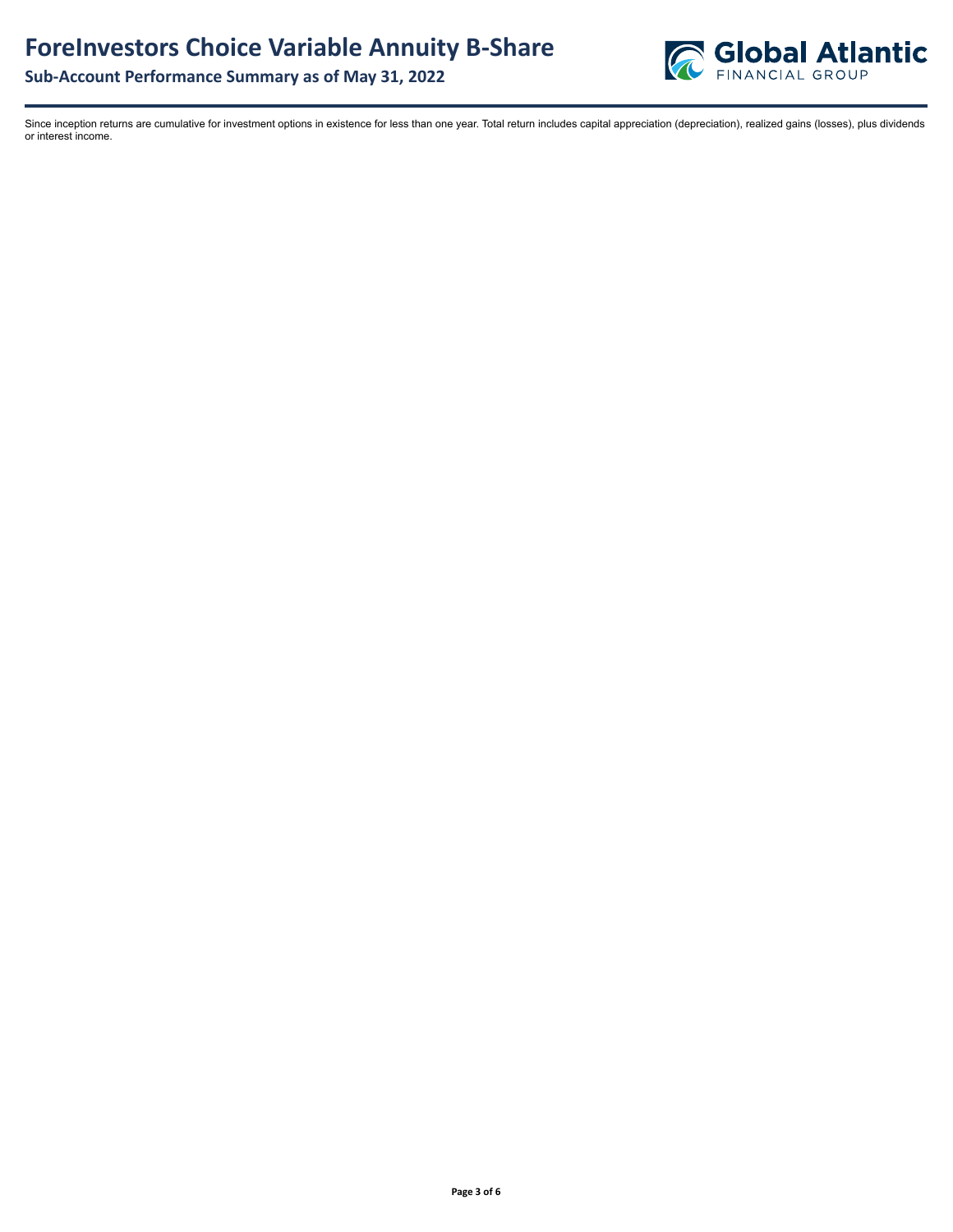

Since inception returns are cumulative for investment options in existence for less than one year. Total return includes capital appreciation (depreciation), realized gains (losses), plus dividends or interest income.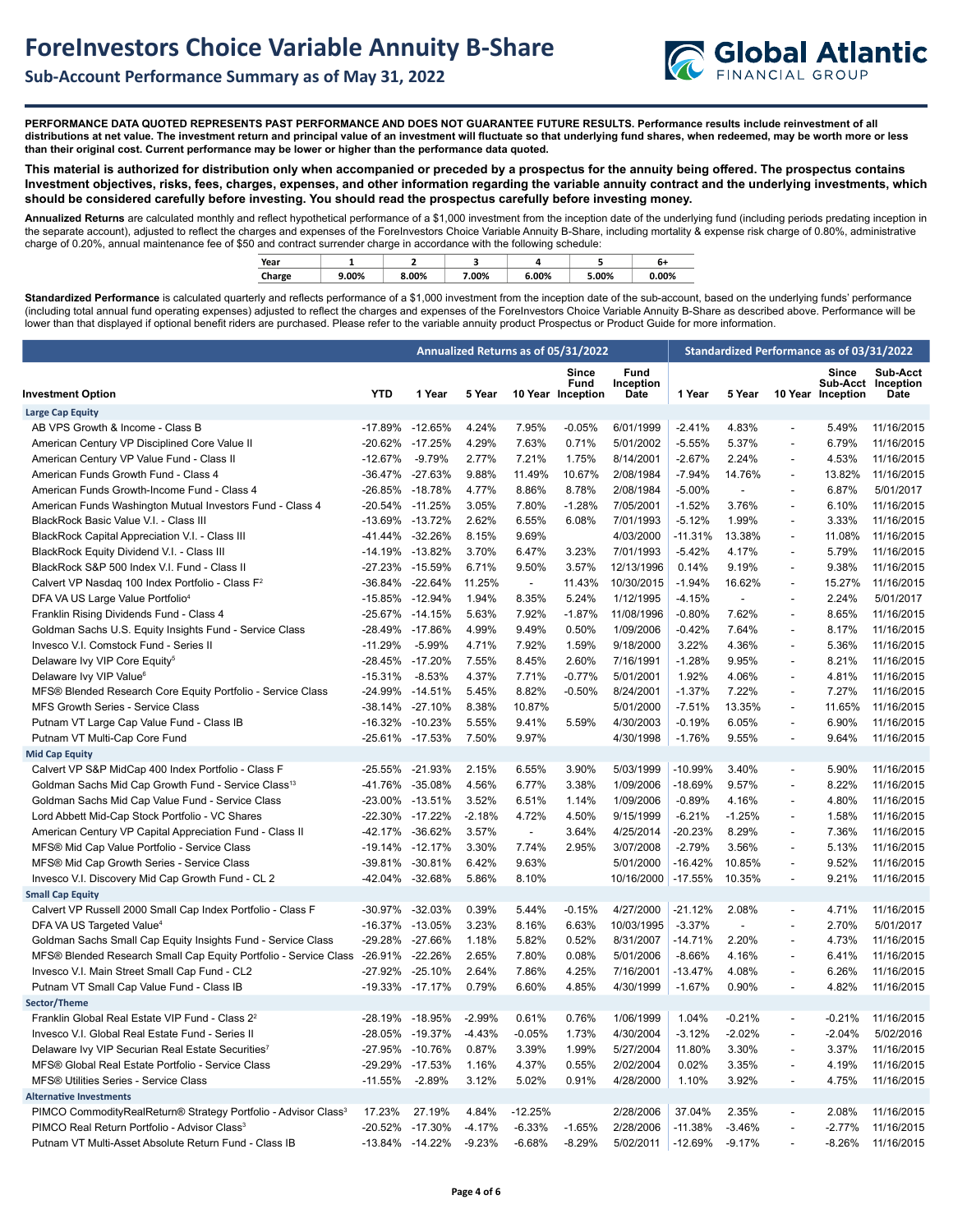

**PERFORMANCE DATA QUOTED REPRESENTS PAST PERFORMANCE AND DOES NOT GUARANTEE FUTURE RESULTS. Performance results include reinvestment of all distributions at net value. The investment return and principal value of an investment will fluctuate so that underlying fund shares, when redeemed, may be worth more or less than their original cost. Current performance may be lower or higher than the performance data quoted.**

**This material is authorized for distribution only when accompanied or preceded by a prospectus for the annuity being offered. The prospectus contains Investment objectives, risks, fees, charges, expenses, and other information regarding the variable annuity contract and the underlying investments, which should be considered carefully before investing. You should read the prospectus carefully before investing money.** 

**Annualized Returns** are calculated monthly and reflect hypothetical performance of a \$1,000 investment from the inception date of the underlying fund (including periods predating inception in the separate account), adjusted to reflect the charges and expenses of the ForeInvestors Choice Variable Annuity B-Share, including mortality & expense risk charge of 0.80%, administrative charge of 0.20%, annual maintenance fee of \$50 and contract surrender charge in accordance with the following schedule:

|        |       | --    |       | --    |       |       |  |
|--------|-------|-------|-------|-------|-------|-------|--|
| Year   |       |       |       |       |       | b1    |  |
| Charge | 9.00% | 8.00% | 7.00% | 6.00% | 5.00% | 0.00% |  |

Standardized Performance is calculated quarterly and reflects performance of a \$1,000 investment from the inception date of the sub-account, based on the underlying funds' performance (including total annual fund operating expenses) adjusted to reflect the charges and expenses of the ForeInvestors Choice Variable Annuity B-Share as described above. Performance will be lower than that displayed if optional benefit riders are purchased. Please refer to the variable annuity product Prospectus or Product Guide for more information.

|                                                                            |                 |                 |          |           | Annualized Returns as of 05/31/2022       |                           | Standardized Performance as of 03/31/2022 |                |                          |                           |                                        |
|----------------------------------------------------------------------------|-----------------|-----------------|----------|-----------|-------------------------------------------|---------------------------|-------------------------------------------|----------------|--------------------------|---------------------------|----------------------------------------|
| <b>Investment Option</b>                                                   | <b>YTD</b>      | 1 Year          | 5 Year   |           | <b>Since</b><br>Fund<br>10 Year Inception | Fund<br>Inception<br>Date | 1 Year                                    | 5 Year         | 10 Year                  | <b>Since</b><br>Inception | Sub-Acct<br>Sub-Acct Inception<br>Date |
| <b>Large Cap Equity</b>                                                    |                 |                 |          |           |                                           |                           |                                           |                |                          |                           |                                        |
| AB VPS Growth & Income - Class B                                           |                 | -17.89% -12.65% | 4.24%    | 7.95%     | $-0.05%$                                  | 6/01/1999                 | $-2.41%$                                  | 4.83%          | $\overline{a}$           | 5.49%                     | 11/16/2015                             |
| American Century VP Disciplined Core Value II                              |                 | -20.62% -17.25% | 4.29%    | 7.63%     | 0.71%                                     | 5/01/2002                 | $-5.55%$                                  | 5.37%          | $\overline{a}$           | 6.79%                     | 11/16/2015                             |
| American Century VP Value Fund - Class II                                  | $-12.67%$       | $-9.79%$        | 2.77%    | 7.21%     | 1.75%                                     | 8/14/2001                 | $-2.67%$                                  | 2.24%          | $\overline{a}$           | 4.53%                     | 11/16/2015                             |
| American Funds Growth Fund - Class 4                                       |                 | -36.47% -27.63% | 9.88%    | 11.49%    | 10.67%                                    | 2/08/1984                 | $-7.94%$                                  | 14.76%         | $\overline{\phantom{a}}$ | 13.82%                    | 11/16/2015                             |
| American Funds Growth-Income Fund - Class 4                                |                 | -26.85% -18.78% | 4.77%    | 8.86%     | 8.78%                                     | 2/08/1984                 | $-5.00%$                                  | $\overline{a}$ | $\overline{a}$           | 6.87%                     | 5/01/2017                              |
| American Funds Washington Mutual Investors Fund - Class 4                  | -20.54% -11.25% |                 | 3.05%    | 7.80%     | $-1.28%$                                  | 7/05/2001                 | $-1.52%$                                  | 3.76%          | $\overline{a}$           | 6.10%                     | 11/16/2015                             |
| BlackRock Basic Value V.I. - Class III                                     | -13.69% -13.72% |                 | 2.62%    | 6.55%     | 6.08%                                     | 7/01/1993                 | $-5.12%$                                  | 1.99%          | $\overline{a}$           | 3.33%                     | 11/16/2015                             |
| BlackRock Capital Appreciation V.I. - Class III                            |                 | -41.44% -32.26% | 8.15%    | 9.69%     |                                           | 4/03/2000                 | $-11.31%$                                 | 13.38%         | $\overline{a}$           | 11.08%                    | 11/16/2015                             |
| BlackRock Equity Dividend V.I. - Class III                                 |                 | -14.19% -13.82% | 3.70%    | 6.47%     | 3.23%                                     | 7/01/1993                 | $-5.42%$                                  | 4.17%          | $\overline{a}$           | 5.79%                     | 11/16/2015                             |
| BlackRock S&P 500 Index V.I. Fund - Class II                               |                 | -27.23% -15.59% | 6.71%    | 9.50%     | 3.57%                                     | 12/13/1996                | 0.14%                                     | 9.19%          | $\overline{a}$           | 9.38%                     | 11/16/2015                             |
| Calvert VP Nasdag 100 Index Portfolio - Class F <sup>2</sup>               |                 | -36.84% -22.64% | 11.25%   | $\sim$    | 11.43%                                    | 10/30/2015                | $-1.94%$                                  | 16.62%         | $\overline{a}$           | 15.27%                    | 11/16/2015                             |
| DFA VA US Large Value Portfolio <sup>4</sup>                               | -15.85% -12.94% |                 | 1.94%    | 8.35%     | 5.24%                                     | 1/12/1995                 | $-4.15%$                                  | $\overline{a}$ | ÷,                       | 2.24%                     | 5/01/2017                              |
| Franklin Rising Dividends Fund - Class 4                                   |                 | -25.67% -14.15% | 5.63%    | 7.92%     | $-1.87%$                                  | 11/08/1996                | $-0.80%$                                  | 7.62%          | $\overline{a}$           | 8.65%                     | 11/16/2015                             |
| Goldman Sachs U.S. Equity Insights Fund - Service Class                    |                 | -28.49% -17.86% | 4.99%    | 9.49%     | 0.50%                                     | 1/09/2006                 | $-0.42%$                                  | 7.64%          | $\blacksquare$           | 8.17%                     | 11/16/2015                             |
| Invesco V.I. Comstock Fund - Series II                                     | $-11.29%$       | $-5.99%$        | 4.71%    | 7.92%     | 1.59%                                     | 9/18/2000                 | 3.22%                                     | 4.36%          | $\overline{a}$           | 5.36%                     | 11/16/2015                             |
| Delaware Ivy VIP Core Equity <sup>5</sup>                                  |                 | -28.45% -17.20% | 7.55%    | 8.45%     | 2.60%                                     | 7/16/1991                 | $-1.28%$                                  | 9.95%          | $\overline{a}$           | 8.21%                     | 11/16/2015                             |
| Delaware Ivy VIP Value <sup>6</sup>                                        | $-15.31%$       | $-8.53%$        | 4.37%    | 7.71%     | $-0.77%$                                  | 5/01/2001                 | 1.92%                                     | 4.06%          | $\overline{a}$           | 4.81%                     | 11/16/2015                             |
| MFS® Blended Research Core Equity Portfolio - Service Class                |                 | -24.99% -14.51% | 5.45%    | 8.82%     | $-0.50%$                                  | 8/24/2001                 | $-1.37%$                                  | 7.22%          | $\overline{a}$           | 7.27%                     | 11/16/2015                             |
| MFS Growth Series - Service Class                                          |                 | -38.14% -27.10% | 8.38%    | 10.87%    |                                           | 5/01/2000                 | $-7.51%$                                  | 13.35%         | ÷,                       | 11.65%                    | 11/16/2015                             |
| Putnam VT Large Cap Value Fund - Class IB                                  | -16.32% -10.23% |                 | 5.55%    | 9.41%     | 5.59%                                     | 4/30/2003                 | $-0.19%$                                  | 6.05%          | $\overline{a}$           | 6.90%                     | 11/16/2015                             |
| Putnam VT Multi-Cap Core Fund                                              |                 | -25.61% -17.53% | 7.50%    | 9.97%     |                                           | 4/30/1998                 | $-1.76%$                                  | 9.55%          | $\overline{a}$           | 9.64%                     | 11/16/2015                             |
| <b>Mid Cap Equity</b>                                                      |                 |                 |          |           |                                           |                           |                                           |                |                          |                           |                                        |
| Calvert VP S&P MidCap 400 Index Portfolio - Class F                        |                 | -25.55% -21.93% | 2.15%    | 6.55%     | 3.90%                                     | 5/03/1999                 | $-10.99%$                                 | 3.40%          | $\overline{\phantom{a}}$ | 5.90%                     | 11/16/2015                             |
| Goldman Sachs Mid Cap Growth Fund - Service Class <sup>13</sup>            | -41.76%         | $-35.08%$       | 4.56%    | 6.77%     | 3.38%                                     | 1/09/2006                 | -18.69%                                   | 9.57%          | $\overline{a}$           | 8.22%                     | 11/16/2015                             |
| Goldman Sachs Mid Cap Value Fund - Service Class                           |                 | -23.00% -13.51% | 3.52%    | 6.51%     | 1.14%                                     | 1/09/2006                 | $-0.89%$                                  | 4.16%          | $\overline{a}$           | 4.80%                     | 11/16/2015                             |
| Lord Abbett Mid-Cap Stock Portfolio - VC Shares                            |                 | -22.30% -17.22% | $-2.18%$ | 4.72%     | 4.50%                                     | 9/15/1999                 | $-6.21%$                                  | $-1.25%$       | $\overline{a}$           | 1.58%                     | 11/16/2015                             |
| American Century VP Capital Appreciation Fund - Class II                   |                 | -42.17% -36.62% | 3.57%    | $\sim$    | 3.64%                                     | 4/25/2014                 | $-20.23%$                                 | 8.29%          | $\overline{a}$           | 7.36%                     | 11/16/2015                             |
| MFS® Mid Cap Value Portfolio - Service Class                               | -19.14% -12.17% |                 | 3.30%    | 7.74%     | 2.95%                                     | 3/07/2008                 | $-2.79%$                                  | 3.56%          | $\overline{\phantom{a}}$ | 5.13%                     | 11/16/2015                             |
| MFS® Mid Cap Growth Series - Service Class                                 | -39.81%         | $-30.81%$       | 6.42%    | 9.63%     |                                           | 5/01/2000                 | $-16.42%$                                 | 10.85%         | ÷,                       | 9.52%                     | 11/16/2015                             |
| Invesco V.I. Discovery Mid Cap Growth Fund - CL 2                          |                 | -42.04% -32.68% | 5.86%    | 8.10%     |                                           | 10/16/2000                | $-17.55%$                                 | 10.35%         | $\overline{a}$           | 9.21%                     | 11/16/2015                             |
| <b>Small Cap Equity</b>                                                    |                 |                 |          |           |                                           |                           |                                           |                |                          |                           |                                        |
| Calvert VP Russell 2000 Small Cap Index Portfolio - Class F                | -30.97%         | $-32.03%$       | 0.39%    | 5.44%     | $-0.15%$                                  | 4/27/2000                 | $-21.12%$                                 | 2.08%          | $\overline{a}$           | 4.71%                     | 11/16/2015                             |
| DFA VA US Targeted Value <sup>4</sup>                                      |                 | -16.37% -13.05% | 3.23%    | 8.16%     | 6.63%                                     | 10/03/1995                | $-3.37%$                                  | $\overline{a}$ | $\overline{a}$           | 2.70%                     | 5/01/2017                              |
| Goldman Sachs Small Cap Equity Insights Fund - Service Class               |                 | -29.28% -27.66% | 1.18%    | 5.82%     | 0.52%                                     | 8/31/2007                 | -14.71%                                   | 2.20%          | $\overline{a}$           | 4.73%                     | 11/16/2015                             |
| MFS® Blended Research Small Cap Equity Portfolio - Service Class           | -26.91% -22.26% |                 | 2.65%    | 7.80%     | 0.08%                                     | 5/01/2006                 | $-8.66%$                                  | 4.16%          | $\overline{a}$           | 6.41%                     | 11/16/2015                             |
| Invesco V.I. Main Street Small Cap Fund - CL2                              | -27.92%         | $-25.10%$       | 2.64%    | 7.86%     | 4.25%                                     | 7/16/2001                 | $-13.47%$                                 | 4.08%          | $\overline{a}$           | 6.26%                     | 11/16/2015                             |
| Putnam VT Small Cap Value Fund - Class IB                                  |                 | -19.33% -17.17% | 0.79%    | 6.60%     | 4.85%                                     | 4/30/1999                 | $-1.67%$                                  | 0.90%          | $\blacksquare$           | 4.82%                     | 11/16/2015                             |
| Sector/Theme                                                               |                 |                 |          |           |                                           |                           |                                           |                |                          |                           |                                        |
| Franklin Global Real Estate VIP Fund - Class 2 <sup>2</sup>                |                 | -28.19% -18.95% | $-2.99%$ | 0.61%     | 0.76%                                     | 1/06/1999                 | 1.04%                                     | $-0.21%$       | $\overline{\phantom{a}}$ | $-0.21%$                  | 11/16/2015                             |
| Invesco V.I. Global Real Estate Fund - Series II                           |                 | -28.05% -19.37% | $-4.43%$ | $-0.05%$  | 1.73%                                     | 4/30/2004                 | $-3.12%$                                  | $-2.02%$       | $\overline{a}$           | $-2.04%$                  | 5/02/2016                              |
| Delaware Ivy VIP Securian Real Estate Securities <sup>7</sup>              |                 | -27.95% -10.76% | 0.87%    | 3.39%     | 1.99%                                     | 5/27/2004                 | 11.80%                                    | 3.30%          | $\overline{a}$           | 3.37%                     | 11/16/2015                             |
| MFS® Global Real Estate Portfolio - Service Class                          |                 | -29.29% -17.53% | 1.16%    | 4.37%     | 0.55%                                     | 2/02/2004                 | 0.02%                                     | 3.35%          | $\overline{\phantom{a}}$ | 4.19%                     | 11/16/2015                             |
| <b>MFS® Utilities Series - Service Class</b>                               | $-11.55%$       | $-2.89%$        | 3.12%    | 5.02%     | 0.91%                                     | 4/28/2000                 | 1.10%                                     | 3.92%          | $\overline{a}$           | 4.75%                     | 11/16/2015                             |
| <b>Alternative Investments</b>                                             |                 |                 |          |           |                                           |                           |                                           |                |                          |                           |                                        |
| PIMCO CommodityRealReturn® Strategy Portfolio - Advisor Class <sup>3</sup> | 17.23%          | 27.19%          | 4.84%    | $-12.25%$ |                                           | 2/28/2006                 | 37.04%                                    | 2.35%          | $\overline{a}$           | 2.08%                     | 11/16/2015                             |
| PIMCO Real Return Portfolio - Advisor Class <sup>3</sup>                   |                 | -20.52% -17.30% | $-4.17%$ | $-6.33%$  | $-1.65%$                                  | 2/28/2006                 | $-11.38%$                                 | $-3.46%$       | $\overline{a}$           | $-2.77%$                  | 11/16/2015                             |
| Putnam VT Multi-Asset Absolute Return Fund - Class IB                      |                 | -13.84% -14.22% | $-9.23%$ | $-6.68%$  | $-8.29%$                                  | 5/02/2011                 | $-12.69%$                                 | $-9.17%$       | ÷,                       | $-8.26%$                  | 11/16/2015                             |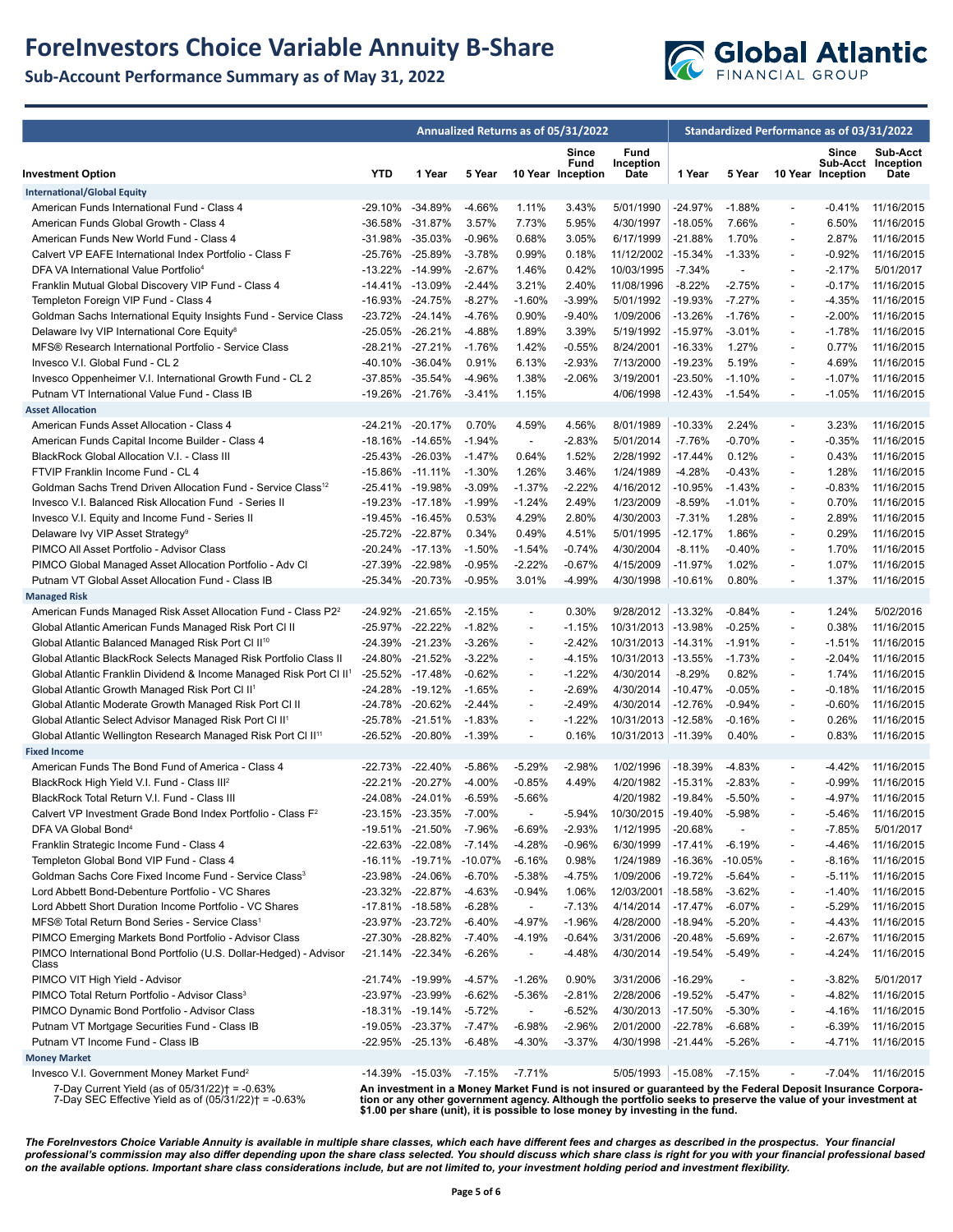## **ForeInvestors Choice Variable Annuity B-Share**

**Sub-Account Performance Summary as of May 31, 2022**



|                                                                                                           | Annualized Returns as of 05/31/2022 |                     |           |                          |                                    |                                                                                                                                                                                                                                                                                                                 | Standardized Performance as of 03/31/2022 |           |                          |                            |                                        |
|-----------------------------------------------------------------------------------------------------------|-------------------------------------|---------------------|-----------|--------------------------|------------------------------------|-----------------------------------------------------------------------------------------------------------------------------------------------------------------------------------------------------------------------------------------------------------------------------------------------------------------|-------------------------------------------|-----------|--------------------------|----------------------------|----------------------------------------|
| <b>Investment Option</b>                                                                                  | <b>YTD</b>                          | 1 Year              | 5 Year    |                          | Since<br>Fund<br>10 Year Inception | Fund<br>Inception<br>Date                                                                                                                                                                                                                                                                                       | 1 Year                                    | 5 Year    |                          | Since<br>10 Year Inception | Sub-Acct<br>Sub-Acct Inception<br>Date |
| <b>International/Global Equity</b>                                                                        |                                     |                     |           |                          |                                    |                                                                                                                                                                                                                                                                                                                 |                                           |           |                          |                            |                                        |
| American Funds International Fund - Class 4                                                               |                                     | -29.10% -34.89%     | $-4.66%$  | 1.11%                    | 3.43%                              | 5/01/1990                                                                                                                                                                                                                                                                                                       | $-24.97%$                                 | $-1.88%$  | $\blacksquare$           | -0.41%                     | 11/16/2015                             |
| American Funds Global Growth - Class 4                                                                    | -36.58%                             | $-31.87%$           | 3.57%     | 7.73%                    | 5.95%                              | 4/30/1997                                                                                                                                                                                                                                                                                                       | -18.05%                                   | 7.66%     | $\overline{\phantom{a}}$ | 6.50%                      | 11/16/2015                             |
| American Funds New World Fund - Class 4                                                                   |                                     | -31.98% -35.03%     | $-0.96%$  | 0.68%                    | 3.05%                              | 6/17/1999                                                                                                                                                                                                                                                                                                       | -21.88%                                   | 1.70%     | $\overline{\phantom{a}}$ | 2.87%                      | 11/16/2015                             |
| Calvert VP EAFE International Index Portfolio - Class F                                                   | -25.76%                             | -25.89%             | $-3.78%$  | 0.99%                    | 0.18%                              | 11/12/2002                                                                                                                                                                                                                                                                                                      | $-15.34%$                                 | $-1.33%$  | ÷,                       | $-0.92%$                   | 11/16/2015                             |
| DFA VA International Value Portfolio <sup>4</sup>                                                         |                                     | -13.22% -14.99%     | $-2.67%$  | 1.46%                    | 0.42%                              | 10/03/1995                                                                                                                                                                                                                                                                                                      | $-7.34%$                                  |           | $\overline{a}$           | $-2.17%$                   | 5/01/2017                              |
| Franklin Mutual Global Discovery VIP Fund - Class 4                                                       |                                     | $-14.41\% -13.09\%$ | $-2.44%$  | 3.21%                    | 2.40%                              | 11/08/1996                                                                                                                                                                                                                                                                                                      | $-8.22%$                                  | $-2.75%$  | $\overline{\phantom{a}}$ | $-0.17%$                   | 11/16/2015                             |
| Templeton Foreign VIP Fund - Class 4                                                                      |                                     | -16.93% -24.75%     | $-8.27%$  | $-1.60%$                 | $-3.99%$                           | 5/01/1992                                                                                                                                                                                                                                                                                                       | -19.93%                                   | $-7.27%$  | $\overline{a}$           | -4.35%                     | 11/16/2015                             |
| Goldman Sachs International Equity Insights Fund - Service Class                                          | -23.72%                             | $-24.14%$           | $-4.76%$  | 0.90%                    | $-9.40%$                           | 1/09/2006                                                                                                                                                                                                                                                                                                       | $-13.26%$                                 | $-1.76%$  | $\overline{\phantom{a}}$ | $-2.00\%$                  | 11/16/2015                             |
| Delaware Ivy VIP International Core Equity <sup>8</sup>                                                   |                                     | -25.05% -26.21%     | $-4.88%$  | 1.89%                    | 3.39%                              | 5/19/1992                                                                                                                                                                                                                                                                                                       | $-15.97%$                                 | $-3.01%$  | $\overline{\phantom{a}}$ | $-1.78%$                   | 11/16/2015                             |
| MFS® Research International Portfolio - Service Class                                                     |                                     | -28.21% -27.21%     | $-1.76%$  | 1.42%                    | $-0.55%$                           | 8/24/2001                                                                                                                                                                                                                                                                                                       | $-16.33%$                                 | 1.27%     | $\overline{a}$           | 0.77%                      | 11/16/2015                             |
| Invesco V.I. Global Fund - CL 2                                                                           | -40.10%                             | $-36.04%$           | 0.91%     | 6.13%                    | $-2.93%$                           | 7/13/2000                                                                                                                                                                                                                                                                                                       | $-19.23%$                                 | 5.19%     | $\overline{\phantom{a}}$ | 4.69%                      | 11/16/2015                             |
| Invesco Oppenheimer V.I. International Growth Fund - CL 2                                                 |                                     | -37.85% -35.54%     | $-4.96%$  | 1.38%                    | $-2.06%$                           | 3/19/2001                                                                                                                                                                                                                                                                                                       | -23.50%                                   | $-1.10%$  | $\overline{\phantom{a}}$ | $-1.07%$                   | 11/16/2015                             |
| Putnam VT International Value Fund - Class IB                                                             |                                     | -19.26% -21.76%     | $-3.41%$  | 1.15%                    |                                    | 4/06/1998                                                                                                                                                                                                                                                                                                       | $-12.43%$                                 | $-1.54%$  | $\overline{a}$           | $-1.05%$                   | 11/16/2015                             |
| <b>Asset Allocation</b>                                                                                   |                                     |                     |           |                          |                                    |                                                                                                                                                                                                                                                                                                                 |                                           |           |                          |                            |                                        |
| American Funds Asset Allocation - Class 4                                                                 |                                     | -24.21% -20.17%     | 0.70%     | 4.59%                    | 4.56%                              | 8/01/1989                                                                                                                                                                                                                                                                                                       | $-10.33%$                                 | 2.24%     | $\overline{\phantom{a}}$ | 3.23%                      | 11/16/2015                             |
| American Funds Capital Income Builder - Class 4                                                           | -18.16%                             | -14.65%             | $-1.94%$  | $\blacksquare$           | $-2.83%$                           | 5/01/2014                                                                                                                                                                                                                                                                                                       | $-7.76%$                                  | $-0.70%$  | $\overline{a}$           | $-0.35%$                   | 11/16/2015                             |
| BlackRock Global Allocation V.I. - Class III                                                              |                                     | -25.43% -26.03%     | $-1.47%$  | 0.64%                    | 1.52%                              | 2/28/1992                                                                                                                                                                                                                                                                                                       | $-17.44%$                                 | 0.12%     | $\overline{\phantom{a}}$ | 0.43%                      | 11/16/2015                             |
| FTVIP Franklin Income Fund - CL 4                                                                         |                                     | -15.86% -11.11%     | $-1.30%$  | 1.26%                    | 3.46%                              | 1/24/1989                                                                                                                                                                                                                                                                                                       | $-4.28%$                                  | -0.43%    | $\overline{\phantom{a}}$ | 1.28%                      | 11/16/2015                             |
| Goldman Sachs Trend Driven Allocation Fund - Service Class <sup>12</sup>                                  |                                     | -25.41% -19.98%     | $-3.09%$  | $-1.37%$                 | $-2.22%$                           | 4/16/2012                                                                                                                                                                                                                                                                                                       | $-10.95%$                                 | $-1.43%$  | $\overline{a}$           | -0.83%                     | 11/16/2015                             |
| Invesco V.I. Balanced Risk Allocation Fund - Series II                                                    |                                     | -19.23% -17.18%     | $-1.99%$  | $-1.24%$                 | 2.49%                              | 1/23/2009                                                                                                                                                                                                                                                                                                       | $-8.59%$                                  | $-1.01%$  | $\overline{\phantom{a}}$ | 0.70%                      | 11/16/2015                             |
| Invesco V.I. Equity and Income Fund - Series II                                                           |                                     | -19.45% -16.45%     | 0.53%     | 4.29%                    | 2.80%                              | 4/30/2003                                                                                                                                                                                                                                                                                                       | $-7.31%$                                  | 1.28%     | $\overline{\phantom{a}}$ | 2.89%                      | 11/16/2015                             |
| Delaware Ivy VIP Asset Strategy <sup>9</sup>                                                              |                                     | -25.72% -22.87%     | 0.34%     | 0.49%                    | 4.51%                              | 5/01/1995                                                                                                                                                                                                                                                                                                       | $-12.17%$                                 | 1.86%     | $\overline{a}$           | 0.29%                      | 11/16/2015                             |
| PIMCO All Asset Portfolio - Advisor Class                                                                 |                                     | -20.24% -17.13%     | $-1.50%$  | $-1.54%$                 | $-0.74%$                           | 4/30/2004                                                                                                                                                                                                                                                                                                       | $-8.11%$                                  | $-0.40%$  | $\overline{\phantom{a}}$ | 1.70%                      | 11/16/2015                             |
| PIMCO Global Managed Asset Allocation Portfolio - Adv Cl                                                  |                                     | -27.39% -22.98%     | $-0.95%$  | $-2.22%$                 | $-0.67%$                           | 4/15/2009                                                                                                                                                                                                                                                                                                       | $-11.97%$                                 | 1.02%     | $\overline{\phantom{a}}$ | 1.07%                      | 11/16/2015                             |
| Putnam VT Global Asset Allocation Fund - Class IB                                                         |                                     | -25.34% -20.73%     | $-0.95%$  | 3.01%                    | -4.99%                             | 4/30/1998                                                                                                                                                                                                                                                                                                       | $-10.61%$                                 | 0.80%     | $\overline{a}$           | 1.37%                      | 11/16/2015                             |
| <b>Managed Risk</b>                                                                                       |                                     |                     |           |                          |                                    |                                                                                                                                                                                                                                                                                                                 |                                           |           |                          |                            |                                        |
| American Funds Managed Risk Asset Allocation Fund - Class P2 <sup>2</sup>                                 |                                     | -24.92% -21.65%     | $-2.15%$  | $\overline{\phantom{a}}$ | 0.30%                              | 9/28/2012                                                                                                                                                                                                                                                                                                       | $-13.32%$                                 | $-0.84%$  | $\overline{\phantom{a}}$ | 1.24%                      | 5/02/2016                              |
| Global Atlantic American Funds Managed Risk Port CI II                                                    |                                     | -25.97% -22.22%     | $-1.82%$  | $\overline{a}$           | $-1.15%$                           | 10/31/2013                                                                                                                                                                                                                                                                                                      | $-13.98%$                                 | $-0.25%$  | $\overline{a}$           | 0.38%                      | 11/16/2015                             |
| Global Atlantic Balanced Managed Risk Port Cl II <sup>10</sup>                                            |                                     | -24.39% -21.23%     | $-3.26%$  | $\overline{\phantom{a}}$ | $-2.42%$                           | 10/31/2013                                                                                                                                                                                                                                                                                                      | $-14.31%$                                 | $-1.91%$  | $\overline{\phantom{a}}$ | $-1.51%$                   | 11/16/2015                             |
| Global Atlantic BlackRock Selects Managed Risk Portfolio Class II                                         |                                     | -24.80% -21.52%     | $-3.22%$  | $\blacksquare$           | $-4.15%$                           | 10/31/2013                                                                                                                                                                                                                                                                                                      | $-13.55%$                                 | $-1.73%$  | $\overline{\phantom{a}}$ | $-2.04%$                   | 11/16/2015                             |
| Global Atlantic Franklin Dividend & Income Managed Risk Port CI II <sup>1</sup>                           | -25.52%                             | -17.48%             | $-0.62%$  | $\overline{a}$           | $-1.22%$                           | 4/30/2014                                                                                                                                                                                                                                                                                                       | $-8.29%$                                  | 0.82%     | $\overline{a}$           | 1.74%                      | 11/16/2015                             |
| Global Atlantic Growth Managed Risk Port Cl II <sup>1</sup>                                               |                                     | -24.28% -19.12%     | $-1.65%$  | $\overline{\phantom{a}}$ | $-2.69%$                           | 4/30/2014                                                                                                                                                                                                                                                                                                       | $-10.47%$                                 | $-0.05%$  | $\overline{\phantom{a}}$ | $-0.18%$                   | 11/16/2015                             |
| Global Atlantic Moderate Growth Managed Risk Port CI II                                                   |                                     | -24.78% -20.62%     | $-2.44%$  | $\overline{\phantom{a}}$ | $-2.49%$                           | 4/30/2014                                                                                                                                                                                                                                                                                                       | $-12.76%$                                 | $-0.94%$  | $\overline{\phantom{a}}$ | $-0.60%$                   | 11/16/2015                             |
| Global Atlantic Select Advisor Managed Risk Port CI II <sup>1</sup>                                       | -25.78%                             | $-21.51%$           | $-1.83%$  | $\overline{a}$           | $-1.22%$                           | 10/31/2013                                                                                                                                                                                                                                                                                                      | $-12.58%$                                 | $-0.16%$  | $\overline{a}$           | 0.26%                      | 11/16/2015                             |
| Global Atlantic Wellington Research Managed Risk Port Cl II <sup>11</sup>                                 |                                     | -26.52% -20.80%     | $-1.39%$  | $\overline{\phantom{a}}$ | 0.16%                              | 10/31/2013 -11.39%                                                                                                                                                                                                                                                                                              |                                           | 0.40%     | $\overline{\phantom{a}}$ | 0.83%                      | 11/16/2015                             |
| <b>Fixed Income</b>                                                                                       |                                     |                     |           |                          |                                    |                                                                                                                                                                                                                                                                                                                 |                                           |           |                          |                            |                                        |
| American Funds The Bond Fund of America - Class 4                                                         | -22.73%                             | $-22.40%$           | -5.86%    | $-5.29%$                 | $-2.98%$                           | 1/02/1996                                                                                                                                                                                                                                                                                                       | $-18.39%$                                 | $-4.83%$  | $\overline{\phantom{a}}$ | -4.42%                     | 11/16/2015                             |
| BlackRock High Yield V.I. Fund - Class III <sup>2</sup>                                                   | -22.21%                             | $-20.27%$           | $-4.00%$  | $-0.85%$                 | 4.49%                              | 4/20/1982                                                                                                                                                                                                                                                                                                       | $-15.31%$                                 | $-2.83%$  | $\overline{a}$           | $-0.99%$                   | 11/16/2015                             |
| BlackRock Total Return V.I. Fund - Class III                                                              |                                     | -24.08% -24.01%     | $-6.59%$  | $-5.66%$                 |                                    | 4/20/1982                                                                                                                                                                                                                                                                                                       | -19.84%                                   | $-5.50%$  | $\overline{\phantom{a}}$ | -4.97%                     | 11/16/2015                             |
| Calvert VP Investment Grade Bond Index Portfolio - Class F <sup>2</sup>                                   | -23.15%                             | $-23.35%$           | $-7.00%$  |                          | -5.94%                             | 10/30/2015 -19.40%                                                                                                                                                                                                                                                                                              |                                           | $-5.98%$  |                          | $-5.46%$                   | 11/16/2015                             |
| DFA VA Global Bond <sup>4</sup>                                                                           |                                     | -19.51% -21.50%     | -7.96%    | $-6.69%$                 | $-2.93%$                           | 1/12/1995                                                                                                                                                                                                                                                                                                       | -20.68%                                   |           |                          | -7.85%                     | 5/01/2017                              |
| Franklin Strategic Income Fund - Class 4                                                                  |                                     | -22.63% -22.08%     | $-7.14%$  | $-4.28%$                 | $-0.96%$                           | 6/30/1999                                                                                                                                                                                                                                                                                                       | $-17.41%$                                 | -6.19%    | $\overline{a}$           | -4.46%                     | 11/16/2015                             |
| Templeton Global Bond VIP Fund - Class 4                                                                  |                                     | -16.11% -19.71%     | $-10.07%$ | $-6.16%$                 | 0.98%                              | 1/24/1989                                                                                                                                                                                                                                                                                                       | -16.36%                                   | $-10.05%$ | ÷,                       | -8.16%                     | 11/16/2015                             |
| Goldman Sachs Core Fixed Income Fund - Service Class <sup>3</sup>                                         |                                     | -23.98% -24.06%     | $-6.70%$  | $-5.38%$                 | $-4.75%$                           | 1/09/2006                                                                                                                                                                                                                                                                                                       | -19.72%                                   | $-5.64%$  | $\overline{a}$           | -5.11%                     | 11/16/2015                             |
| Lord Abbett Bond-Debenture Portfolio - VC Shares                                                          |                                     | -23.32% -22.87%     | -4.63%    | $-0.94%$                 | 1.06%                              | 12/03/2001                                                                                                                                                                                                                                                                                                      | -18.58%                                   | $-3.62%$  | $\overline{a}$           | $-1.40%$                   | 11/16/2015                             |
| Lord Abbett Short Duration Income Portfolio - VC Shares                                                   |                                     | -17.81% -18.58%     | $-6.28%$  | $\overline{\phantom{a}}$ | $-7.13%$                           | 4/14/2014                                                                                                                                                                                                                                                                                                       | $-17.47%$                                 | $-6.07%$  | $\overline{a}$           | -5.29%                     | 11/16/2015                             |
| MFS® Total Return Bond Series - Service Class <sup>1</sup>                                                |                                     | -23.97% -23.72%     | $-6.40%$  | $-4.97%$                 | $-1.96%$                           | 4/28/2000                                                                                                                                                                                                                                                                                                       | -18.94%                                   | $-5.20%$  | $\overline{a}$           | -4.43%                     | 11/16/2015                             |
| PIMCO Emerging Markets Bond Portfolio - Advisor Class                                                     |                                     | -27.30% -28.82%     | $-7.40%$  | $-4.19%$                 | $-0.64%$                           | 3/31/2006                                                                                                                                                                                                                                                                                                       | -20.48%                                   | -5.69%    | $\overline{a}$           | -2.67%                     | 11/16/2015                             |
| PIMCO International Bond Portfolio (U.S. Dollar-Hedged) - Advisor<br>Class                                |                                     | -21.14% -22.34%     | $-6.26%$  | $\overline{\phantom{a}}$ | $-4.48%$                           | 4/30/2014                                                                                                                                                                                                                                                                                                       | -19.54%                                   | $-5.49%$  | ÷,                       | -4.24%                     | 11/16/2015                             |
| PIMCO VIT High Yield - Advisor                                                                            |                                     | -21.74% -19.99%     | $-4.57%$  | $-1.26%$                 | 0.90%                              | 3/31/2006                                                                                                                                                                                                                                                                                                       | -16.29%                                   |           | ÷,                       | $-3.82%$                   | 5/01/2017                              |
| PIMCO Total Return Portfolio - Advisor Class <sup>3</sup>                                                 |                                     | -23.97% -23.99%     | $-6.62%$  | $-5.36%$                 | $-2.81%$                           | 2/28/2006                                                                                                                                                                                                                                                                                                       | -19.52%                                   | -5.47%    | $\overline{a}$           | -4.82%                     | 11/16/2015                             |
| PIMCO Dynamic Bond Portfolio - Advisor Class                                                              |                                     | -18.31% -19.14%     | $-5.72%$  | $\overline{\phantom{a}}$ | $-6.52%$                           | 4/30/2013                                                                                                                                                                                                                                                                                                       | $-17.50%$                                 | $-5.30%$  |                          | -4.16%                     | 11/16/2015                             |
| Putnam VT Mortgage Securities Fund - Class IB                                                             |                                     | -19.05% -23.37%     | -7.47%    | $-6.98%$                 | $-2.96%$                           | 2/01/2000                                                                                                                                                                                                                                                                                                       | -22.78%                                   | -6.68%    | $\overline{a}$           | -6.39%                     | 11/16/2015                             |
| Putnam VT Income Fund - Class IB                                                                          |                                     | -22.95% -25.13%     | $-6.48%$  | $-4.30%$                 | $-3.37%$                           | 4/30/1998                                                                                                                                                                                                                                                                                                       | -21.44%                                   | -5.26%    | $\overline{a}$           | -4.71%                     | 11/16/2015                             |
| <b>Money Market</b>                                                                                       |                                     |                     |           |                          |                                    |                                                                                                                                                                                                                                                                                                                 |                                           |           |                          |                            |                                        |
| Invesco V.I. Government Money Market Fund <sup>2</sup>                                                    |                                     | -14.39% -15.03%     | -7.15%    | $-7.71%$                 |                                    | 5/05/1993                                                                                                                                                                                                                                                                                                       | -15.08%                                   | -7.15%    |                          |                            | -7.04% 11/16/2015                      |
| 7-Day Current Yield (as of 05/31/22)† = -0.63%<br>7-Day SEC Effective Yield as of $(05/31/22)$ † = -0.63% |                                     |                     |           |                          |                                    | An investment in a Money Market Fund is not insured or guaranteed by the Federal Deposit Insurance Corpora-<br>tion or any other government agency. Although the portfolio seeks to preserve the value of your investment at<br>\$1.00 per share (unit), it is possible to lose money by investing in the fund. |                                           |           |                          |                            |                                        |

*The ForeInvestors Choice Variable Annuity is available in multiple share classes, which each have different fees and charges as described in the prospectus. Your financial professional's commission may also differ depending upon the share class selected. You should discuss which share class is right for you with your financial professional based on the available options. Important share class considerations include, but are not limited to, your investment holding period and investment flexibility.*